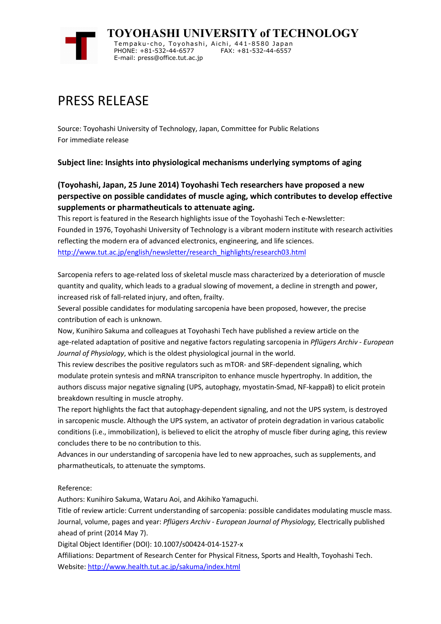

## PRESS RELEASE

Source: Toyohashi University of Technology, Japan, Committee for Public Relations For immediate release

## **Subject line: Insights into physiological mechanisms underlying symptoms of aging**

## **(Toyohashi, Japan, 25 June 2014) Toyohashi Tech researchers have proposed a new perspective on possible candidates of muscle aging, which contributes to develop effective supplements or pharmatheuticals to attenuate aging.**

This report is featured in the Research highlights issue of the Toyohashi Tech e-Newsletter: Founded in 1976, Toyohashi University of Technology is a vibrant modern institute with research activities reflecting the modern era of advanced electronics, engineering, and life sciences. http://www.tut.ac.jp/english/newsletter/research\_highlights/research03.html

Sarcopenia refers to age-related loss of skeletal muscle mass characterized by a deterioration of muscle quantity and quality, which leads to a gradual slowing of movement, a decline in strength and power, increased risk of fall-related injury, and often, frailty.

Several possible candidates for modulating sarcopenia have been proposed, however, the precise contribution of each is unknown.

Now, Kunihiro Sakuma and colleagues at Toyohashi Tech have published a review article on the age-related adaptation of positive and negative factors regulating sarcopenia in *Pflügers Archiv - European Journal of Physiology*, which is the oldest physiological journal in the world.

This review describes the positive regulators such as mTOR- and SRF-dependent signaling, which modulate protein syntesis and mRNA transcripiton to enhance muscle hypertrophy. In addition, the authors discuss major negative signaling (UPS, autophagy, myostatin-Smad, NF-kappaB) to elicit protein breakdown resulting in muscle atrophy.

The report highlights the fact that autophagy-dependent signaling, and not the UPS system, is destroyed in sarcopenic muscle. Although the UPS system, an activator of protein degradation in various catabolic conditions (i.e., immobilization), is believed to elicit the atrophy of muscle fiber during aging, this review concludes there to be no contribution to this.

Advances in our understanding of sarcopenia have led to new approaches, such as supplements, and pharmatheuticals, to attenuate the symptoms.

## Reference:

Authors: Kunihiro Sakuma, Wataru Aoi, and Akihiko Yamaguchi.

Title of review article: Current understanding of sarcopenia: possible candidates modulating muscle mass. Journal, volume, pages and year: *Pflügers Archiv - European Journal of Physiology,* Electrically published ahead of print (2014 May 7).

Digital Object Identifier (DOI): 10.1007/s00424-014-1527-x

Affiliations: Department of Research Center for Physical Fitness, Sports and Health, Toyohashi Tech. Website: http://www.health.tut.ac.jp/sakuma/index.html